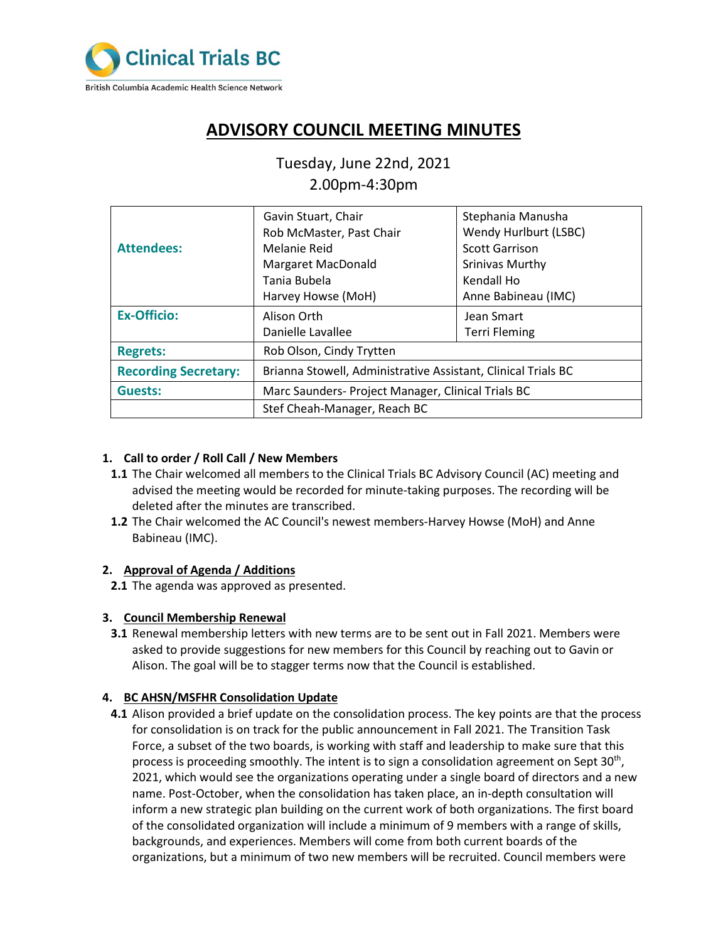

# **ADVISORY COUNCIL MEETING MINUTES**

Tuesday, June 22nd, 2021 2.00pm-4:30pm

|                             | Gavin Stuart, Chair                                           | Stephania Manusha     |
|-----------------------------|---------------------------------------------------------------|-----------------------|
|                             | Rob McMaster, Past Chair                                      | Wendy Hurlburt (LSBC) |
| <b>Attendees:</b>           | Melanie Reid                                                  | <b>Scott Garrison</b> |
|                             | <b>Margaret MacDonald</b>                                     | Srinivas Murthy       |
|                             | Tania Bubela                                                  | Kendall Ho            |
|                             | Harvey Howse (MoH)                                            | Anne Babineau (IMC)   |
| <b>Ex-Officio:</b>          | Alison Orth                                                   | Jean Smart            |
|                             | Danielle Lavallee                                             | <b>Terri Fleming</b>  |
| <b>Regrets:</b>             | Rob Olson, Cindy Trytten                                      |                       |
| <b>Recording Secretary:</b> | Brianna Stowell, Administrative Assistant, Clinical Trials BC |                       |
| Guests:                     | Marc Saunders- Project Manager, Clinical Trials BC            |                       |
|                             | Stef Cheah-Manager, Reach BC                                  |                       |

# **1. Call to order / Roll Call / New Members**

- **1.1** The Chair welcomed all members to the Clinical Trials BC Advisory Council (AC) meeting and advised the meeting would be recorded for minute-taking purposes. The recording will be deleted after the minutes are transcribed.
- **1.2** The Chair welcomed the AC Council's newest members-Harvey Howse (MoH) and Anne Babineau (IMC).

## **2. Approval of Agenda / Additions**

**2.1** The agenda was approved as presented.

## **3. Council Membership Renewal**

**3.1** Renewal membership letters with new terms are to be sent out in Fall 2021. Members were asked to provide suggestions for new members for this Council by reaching out to Gavin or Alison. The goal will be to stagger terms now that the Council is established.

## **4. BC AHSN/MSFHR Consolidation Update**

**4.1** Alison provided a brief update on the consolidation process. The key points are that the process for consolidation is on track for the public announcement in Fall 2021. The Transition Task Force, a subset of the two boards, is working with staff and leadership to make sure that this process is proceeding smoothly. The intent is to sign a consolidation agreement on Sept  $30<sup>th</sup>$ , 2021, which would see the organizations operating under a single board of directors and a new name. Post-October, when the consolidation has taken place, an in-depth consultation will inform a new strategic plan building on the current work of both organizations. The first board of the consolidated organization will include a minimum of 9 members with a range of skills, backgrounds, and experiences. Members will come from both current boards of the organizations, but a minimum of two new members will be recruited. Council members were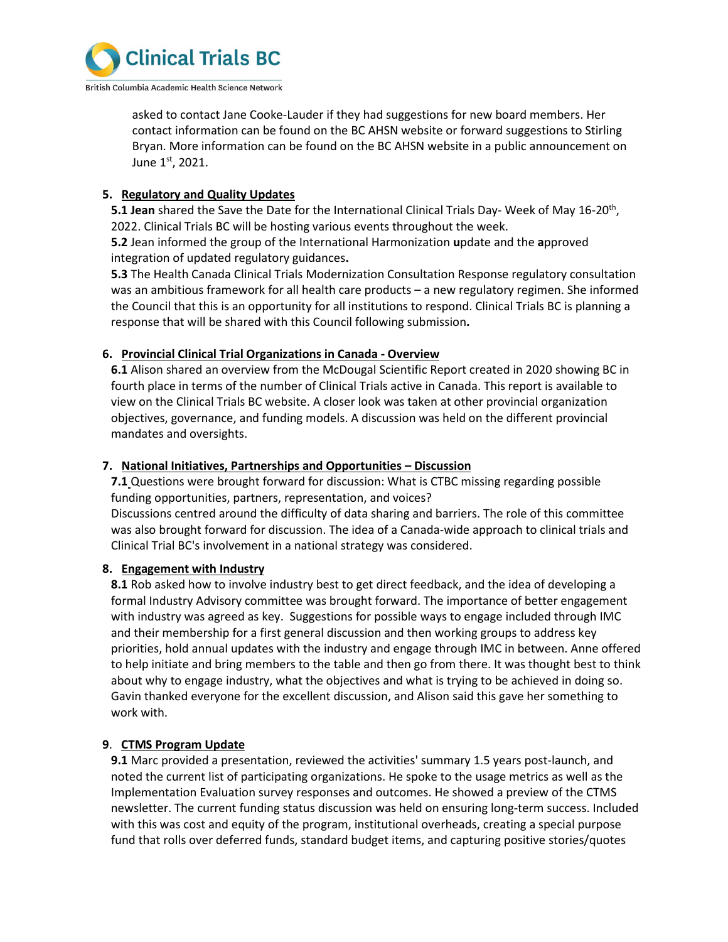

asked to contact Jane Cooke-Lauder if they had suggestions for new board members. Her contact information can be found on the BC AHSN website or forward suggestions to Stirling Bryan. More information can be found on the BC AHSN website in a public announcement on June 1st, 2021.

# **5. Regulatory and Quality Updates**

**5.1 Jean** shared the Save the Date for the International Clinical Trials Day- Week of May 16-20<sup>th</sup>, 2022. Clinical Trials BC will be hosting various events throughout the week.

**5.2** Jean informed the group of the International Harmonization **u**pdate and the **a**pproved integration of updated regulatory guidances**.**

**5.3** The Health Canada Clinical Trials Modernization Consultation Response regulatory consultation was an ambitious framework for all health care products – a new regulatory regimen. She informed the Council that this is an opportunity for all institutions to respond. Clinical Trials BC is planning a response that will be shared with this Council following submission**.**

# **6. Provincial Clinical Trial Organizations in Canada - Overview**

**6.1** Alison shared an overview from the McDougal Scientific Report created in 2020 showing BC in fourth place in terms of the number of Clinical Trials active in Canada. This report is available to view on the Clinical Trials BC website. A closer look was taken at other provincial organization objectives, governance, and funding models. A discussion was held on the different provincial mandates and oversights.

# **7. National Initiatives, Partnerships and Opportunities – Discussion**

**7.1** Questions were brought forward for discussion: What is CTBC missing regarding possible funding opportunities, partners, representation, and voices?

Discussions centred around the difficulty of data sharing and barriers. The role of this committee was also brought forward for discussion. The idea of a Canada-wide approach to clinical trials and Clinical Trial BC's involvement in a national strategy was considered.

## **8. Engagement with Industry**

**8.1** Rob asked how to involve industry best to get direct feedback, and the idea of developing a formal Industry Advisory committee was brought forward. The importance of better engagement with industry was agreed as key. Suggestions for possible ways to engage included through IMC and their membership for a first general discussion and then working groups to address key priorities, hold annual updates with the industry and engage through IMC in between. Anne offered to help initiate and bring members to the table and then go from there. It was thought best to think about why to engage industry, what the objectives and what is trying to be achieved in doing so. Gavin thanked everyone for the excellent discussion, and Alison said this gave her something to work with.

# **9**. **CTMS Program Update**

**9.1** Marc provided a presentation, reviewed the activities' summary 1.5 years post-launch, and noted the current list of participating organizations. He spoke to the usage metrics as well as the Implementation Evaluation survey responses and outcomes. He showed a preview of the CTMS newsletter. The current funding status discussion was held on ensuring long-term success. Included with this was cost and equity of the program, institutional overheads, creating a special purpose fund that rolls over deferred funds, standard budget items, and capturing positive stories/quotes